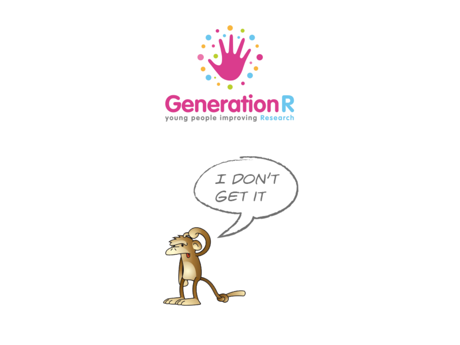

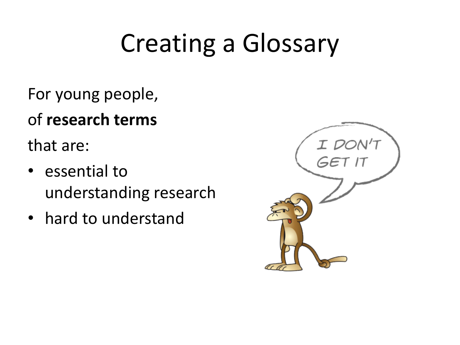# Creating a Glossary

- For young people,
- of **research** terms

that are:

- essential to understanding research
- hard to understand

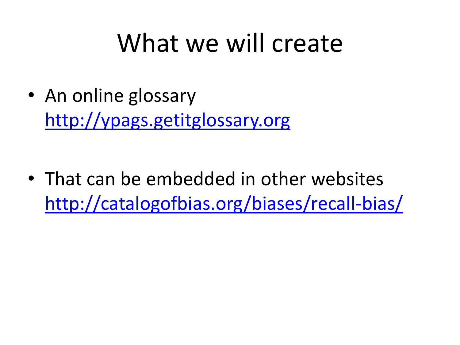#### What we will create

• An online glossary http://ypags.getitglossary.org

• That can be embedded in other websites http://catalogofbias.org/biases/recall-bias/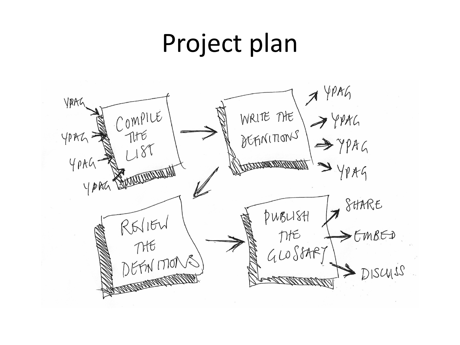### Project plan

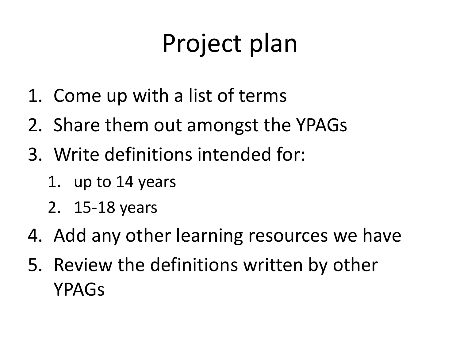# Project plan

- 1. Come up with a list of terms
- 2. Share them out amongst the YPAGs
- 3. Write definitions intended for:
	- 1. up to 14 years
	- 2. 15-18 years
- 4. Add any other learning resources we have
- 5. Review the definitions written by other YPAGs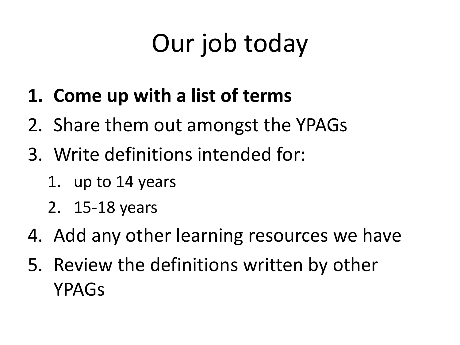# Our job today

- **1. Come up with a list of terms**
- 2. Share them out amongst the YPAGs
- 3. Write definitions intended for:
	- 1. up to 14 years
	- 2. 15-18 years
- 4. Add any other learning resources we have
- 5. Review the definitions written by other YPAGs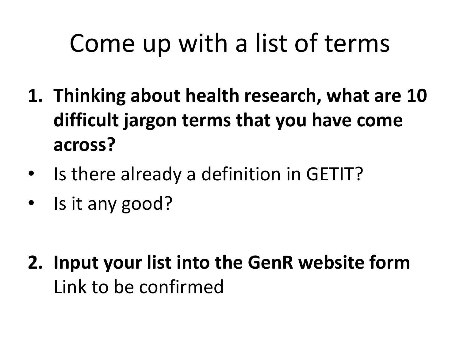# Come up with a list of terms

- 1. Thinking about health research, what are 10 difficult jargon terms that you have come **across?**
- Is there already a definition in GETIT?
- Is it any good?

**2.** Input your list into the GenR website form Link to be confirmed